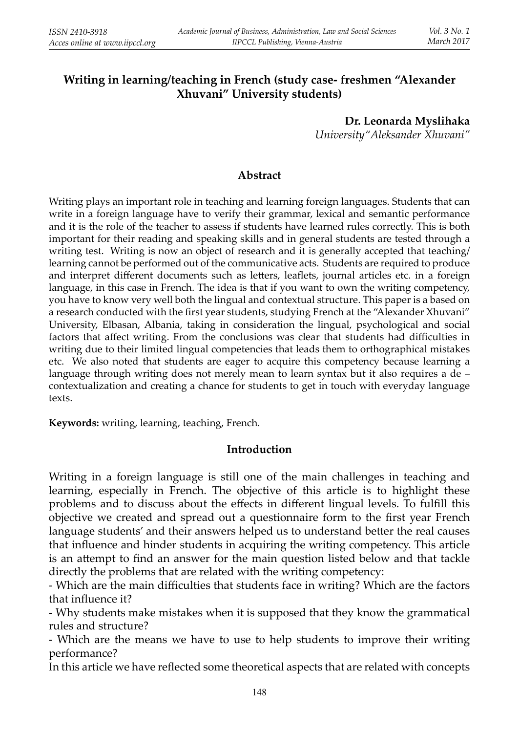# **Writing in learning/teaching in French (study case- freshmen "Alexander Xhuvani" University students)**

**Dr. Leonarda Myslihaka***University"Aleksander Xhuvani"*

## **Abstract**

Writing plays an important role in teaching and learning foreign languages. Students that can write in a foreign language have to verify their grammar, lexical and semantic performance and it is the role of the teacher to assess if students have learned rules correctly. This is both important for their reading and speaking skills and in general students are tested through a writing test. Writing is now an object of research and it is generally accepted that teaching/learning cannot be performed out of the communicative acts. Students are required to produce and interpret different documents such as letters, leaflets, journal articles etc. in a foreign language, in this case in French. The idea is that if you want to own the writing competency, you have to know very well both the lingual and contextual structure. This paper is a based on a research conducted with the first year students, studying French at the "Alexander Xhuvani" University, Elbasan, Albania, taking in consideration the lingual, psychological and social factors that affect writing. From the conclusions was clear that students had difficulties in writing due to their limited lingual competencies that leads them to orthographical mistakes etc. We also noted that students are eager to acquire this competency because learning a language through writing does not merely mean to learn syntax but it also requires a de – contextualization and creating a chance for students to get in touch with everyday language texts.

**Keywords:** writing, learning, teaching, French.

#### **Introduction**

Writing in a foreign language is still one of the main challenges in teaching and learning, especially in French. The objective of this article is to highlight these problems and to discuss about the effects in different lingual levels. To fulfill this objective we created and spread out a questionnaire form to the first year French language students' and their answers helped us to understand better the real causes that influence and hinder students in acquiring the writing competency. This article is an attempt to find an answer for the main question listed below and that tackle directly the problems that are related with the writing competency:

- Which are the main difficulties that students face in writing? Which are the factors that influence it?

 - Why students make mistakes when it is supposed that they know the grammatical rules and structure?

 - Which are the means we have to use to help students to improve their writing performance?

In this article we have reflected some theoretical aspects that are related with concepts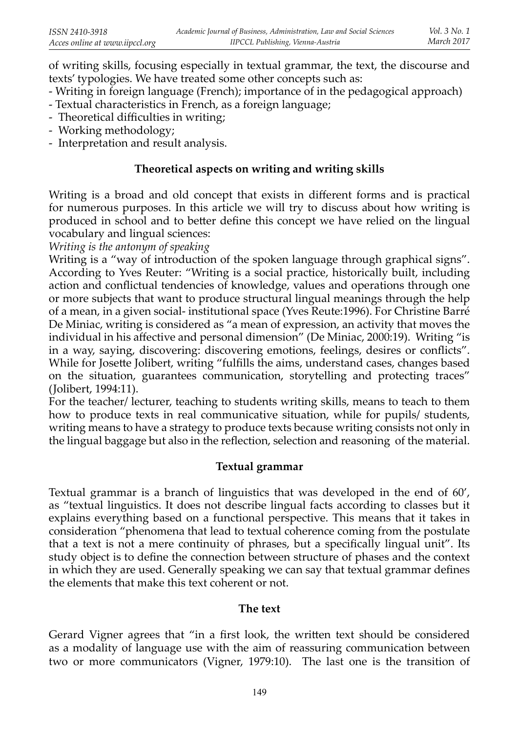of writing skills, focusing especially in textual grammar, the text, the discourse and texts' typologies. We have treated some other concepts such as:

- Writing in foreign language (French); importance of in the pedagogical approach)
- Textual characteristics in French, as a foreign language;
- Theoretical difficulties in writing;
- Working methodology;
- Interpretation and result analysis.

## **Theoretical aspects on writing and writing skills**

Writing is a broad and old concept that exists in different forms and is practical for numerous purposes. In this article we will try to discuss about how writing is produced in school and to better define this concept we have relied on the lingual vocabulary and lingual sciences:

*Writing is the antonym of speaking* 

Writing is a "way of introduction of the spoken language through graphical signs". According to Yves Reuter: "Writing is a social practice, historically built, including action and conflictual tendencies of knowledge, values and operations through one or more subjects that want to produce structural lingual meanings through the help of a mean, in a given social- institutional space (Yves Reute:1996). For Christine Barré De Miniac, writing is considered as "a mean of expression, an activity that moves the individual in his affective and personal dimension" (De Miniac, 2000:19). Writing "is in a way, saying, discovering: discovering emotions, feelings, desires or conflicts". While for Josette Jolibert, writing "fulfills the aims, understand cases, changes based on the situation, guarantees communication, storytelling and protecting traces" (Jolibert, 1994:11).

For the teacher/ lecturer, teaching to students writing skills, means to teach to them how to produce texts in real communicative situation, while for pupils/ students, writing means to have a strategy to produce texts because writing consists not only in the lingual baggage but also in the reflection, selection and reasoning of the material.

# **Textual grammar**

Textual grammar is a branch of linguistics that was developed in the end of 60', as "textual linguistics. It does not describe lingual facts according to classes but it explains everything based on a functional perspective. This means that it takes in consideration "phenomena that lead to textual coherence coming from the postulate that a text is not a mere continuity of phrases, but a specifically lingual unit". Its study object is to define the connection between structure of phases and the context in which they are used. Generally speaking we can say that textual grammar defines the elements that make this text coherent or not.

## **The text**

Gerard Vigner agrees that "in a first look, the written text should be considered as a modality of language use with the aim of reassuring communication between two or more communicators (Vigner, 1979:10). The last one is the transition of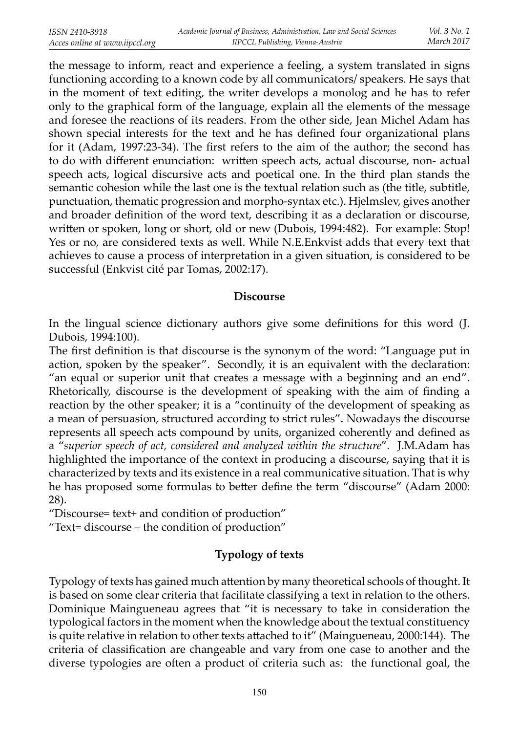the message to inform, react and experience a feeling, a system translated in signs functioning according to a known code by all communicators/ speakers. He says that in the moment of text editing, the writer develops a monolog and he has to refer only to the graphical form of the language, explain all the elements of the message and foresee the reactions of its readers. From the other side, Jean Michel Adam has shown special interests for the text and he has defined four organizational plans for it (Adam, 1997:23-34). The first refers to the aim of the author; the second has to do with different enunciation: written speech acts, actual discourse, non- actual speech acts, logical discursive acts and poetical one. In the third plan stands the semantic cohesion while the last one is the textual relation such as (the title, subtitle, punctuation, thematic progression and morpho-syntax etc.). Hjelmslev, gives another and broader definition of the word text, describing it as a declaration or discourse, written or spoken, long or short, old or new (Dubois, 1994:482). For example: Stop! Yes or no, are considered texts as well. While N.E.Enkvist adds that every text that achieves to cause a process of interpretation in a given situation, is considered to be successful (Enkvist cité par Tomas, 2002:17).

### **Discourse**

In the lingual science dictionary authors give some definitions for this word (J. Dubois, 1994:100).

The first definition is that discourse is the synonym of the word: "Language put in action, spoken by the speaker". Secondly, it is an equivalent with the declaration: "an equal or superior unit that creates a message with a beginning and an end". Rhetorically, discourse is the development of speaking with the aim of finding a reaction by the other speaker; it is a "continuity of the development of speaking as a mean of persuasion, structured according to strict rules". Nowadays the discourse represents all speech acts compound by units, organized coherently and defined as <sup>a</sup>"*superior speech of act, considered and analyzed within the structure*". J.M.Adam has highlighted the importance of the context in producing a discourse, saying that it is characterized by texts and its existence in a real communicative situation. That is why he has proposed some formulas to better define the term "discourse" (Adam 2000: 28).

"Discourse= text+ and condition of production"

"Text= discourse – the condition of production"

# **Typology of texts**

Typology of texts has gained much attention by many theoretical schools of thought. It is based on some clear criteria that facilitate classifying a text in relation to the others. Dominique Maingueneau agrees that "it is necessary to take in consideration the typological factors in the moment when the knowledge about the textual constituency is quite relative in relation to other texts attached to it" (Maingueneau, 2000:144). The criteria of classification are changeable and vary from one case to another and the diverse typologies are often a product of criteria such as: the functional goal, the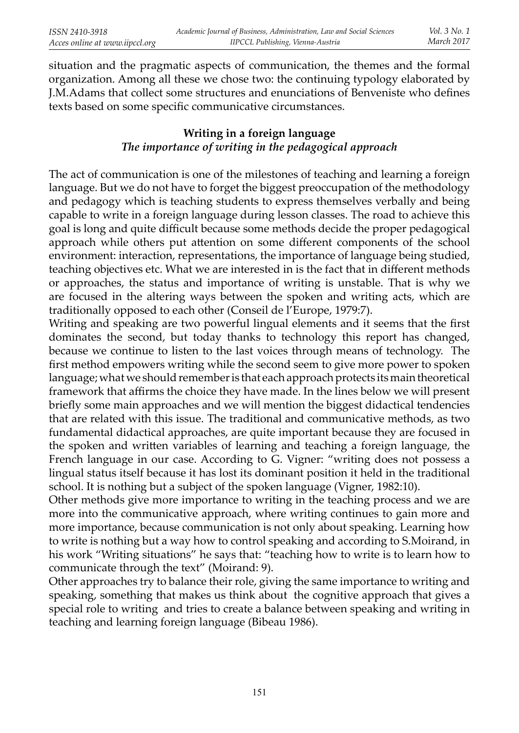situation and the pragmatic aspects of communication, the themes and the formal organization. Among all these we chose two: the continuing typology elaborated by J.M.Adams that collect some structures and enunciations of Benveniste who defines texts based on some specific communicative circumstances.

## **Writing in a foreign language***The importance of writing in the pedagogical approach*

The act of communication is one of the milestones of teaching and learning a foreign language. But we do not have to forget the biggest preoccupation of the methodology and pedagogy which is teaching students to express themselves verbally and being capable to write in a foreign language during lesson classes. The road to achieve this goal is long and quite difficult because some methods decide the proper pedagogical approach while others put attention on some different components of the school environment: interaction, representations, the importance of language being studied, teaching objectives etc. What we are interested in is the fact that in different methods or approaches, the status and importance of writing is unstable. That is why we are focused in the altering ways between the spoken and writing acts, which are traditionally opposed to each other (Conseil de l'Europe, 1979:7).

Writing and speaking are two powerful lingual elements and it seems that the first dominates the second, but today thanks to technology this report has changed, because we continue to listen to the last voices through means of technology. The first method empowers writing while the second seem to give more power to spoken language; what we should remember is that each approach protects its main theoretical framework that affirms the choice they have made. In the lines below we will present briefly some main approaches and we will mention the biggest didactical tendencies that are related with this issue. The traditional and communicative methods, as two fundamental didactical approaches, are quite important because they are focused in the spoken and written variables of learning and teaching a foreign language, the French language in our case. According to G. Vigner: "writing does not possess a lingual status itself because it has lost its dominant position it held in the traditional school. It is nothing but a subject of the spoken language (Vigner, 1982:10).

Other methods give more importance to writing in the teaching process and we are more into the communicative approach, where writing continues to gain more and more importance, because communication is not only about speaking. Learning how to write is nothing but a way how to control speaking and according to S.Moirand, in his work "Writing situations" he says that: "teaching how to write is to learn how to communicate through the text" (Moirand: 9).

Other approaches try to balance their role, giving the same importance to writing and speaking, something that makes us think about the cognitive approach that gives a special role to writing and tries to create a balance between speaking and writing in teaching and learning foreign language (Bibeau 1986).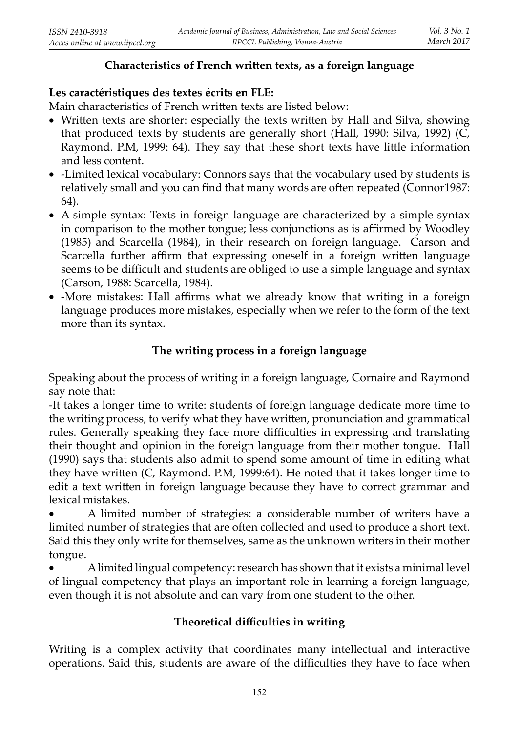## **Characteristics of French written texts, as a foreign language**

# **Les caractéristiques des textes écrits en FLE:**

Main characteristics of French written texts are listed below:

- Written texts are shorter: especially the texts written by Hall and Silva, showing that produced texts by students are generally short (Hall, 1990: Silva, 1992) (C, Raymond. P.M, 1999: 64). They say that these short texts have little information and less content.
- -Limited lexical vocabulary: Connors says that the vocabulary used by students is relatively small and you can find that many words are often repeated (Connor1987: 64).
- A simple syntax: Texts in foreign language are characterized by a simple syntax in comparison to the mother tongue; less conjunctions as is affirmed by Woodley (1985) and Scarcella (1984), in their research on foreign language. Carson and Scarcella further affirm that expressing oneself in a foreign written language seems to be difficult and students are obliged to use a simple language and syntax (Carson, 1988: Scarcella, 1984).
- -More mistakes: Hall affirms what we already know that writing in a foreign language produces more mistakes, especially when we refer to the form of the text more than its syntax.

## **The writing process in a foreign language**

Speaking about the process of writing in a foreign language, Cornaire and Raymond say note that:

-It takes a longer time to write: students of foreign language dedicate more time to the writing process, to verify what they have written, pronunciation and grammatical rules. Generally speaking they face more difficulties in expressing and translating their thought and opinion in the foreign language from their mother tongue. Hall (1990) says that students also admit to spend some amount of time in editing what they have written  $(C,$  Raymond. P.M, 1999:64). He noted that it takes longer time to edit a text written in foreign language because they have to correct grammar and lexical mistakes.

• A limited number of strategies: a considerable number of writers have a limited number of strategies that are often collected and used to produce a short text. Said this they only write for themselves, same as the unknown writers in their mother tongue.

• A limited lingual competency: research has shown that it exists a minimal level of lingual competency that plays an important role in learning a foreign language, even though it is not absolute and can vary from one student to the other.

# **Theoretical difficulties in writing**

Writing is a complex activity that coordinates many intellectual and interactive operations. Said this, students are aware of the difficulties they have to face when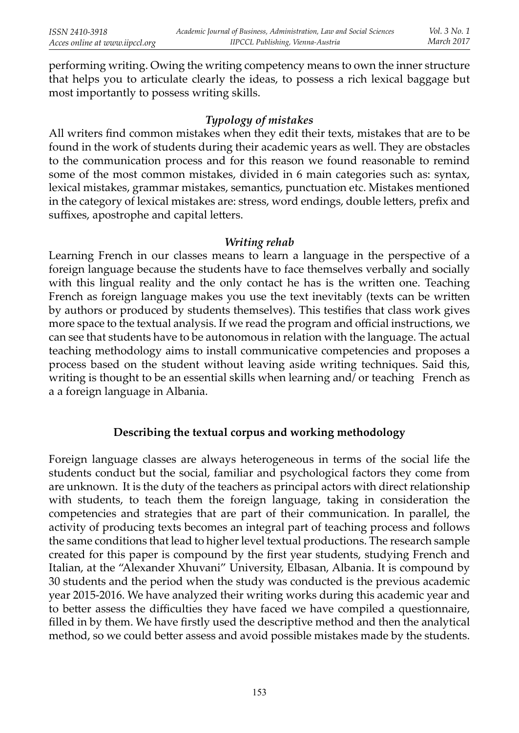performing writing. Owing the writing competency means to own the inner structure that helps you to articulate clearly the ideas, to possess a rich lexical baggage but most importantly to possess writing skills.

## *Typology of mistakes*

All writers find common mistakes when they edit their texts, mistakes that are to be found in the work of students during their academic years as well. They are obstacles to the communication process and for this reason we found reasonable to remind some of the most common mistakes, divided in 6 main categories such as: syntax, lexical mistakes, grammar mistakes, semantics, punctuation etc. Mistakes mentioned in the category of lexical mistakes are: stress, word endings, double letters, prefix and suffixes, apostrophe and capital letters.

#### *Writing rehab*

 Learning French in our classes means to learn a language in the perspective of a foreign language because the students have to face themselves verbally and socially with this lingual reality and the only contact he has is the written one. Teaching French as foreign language makes you use the text inevitably (texts can be written by authors or produced by students themselves). This testifies that class work gives more space to the textual analysis. If we read the program and official instructions, we can see that students have to be autonomous in relation with the language. The actual teaching methodology aims to install communicative competencies and proposes a process based on the student without leaving aside writing techniques. Said this, writing is thought to be an essential skills when learning and/ or teaching French as a a foreign language in Albania.

## **Describing the textual corpus and working methodology**

Foreign language classes are always heterogeneous in terms of the social life the students conduct but the social, familiar and psychological factors they come from are unknown. It is the duty of the teachers as principal actors with direct relationship with students, to teach them the foreign language, taking in consideration the competencies and strategies that are part of their communication. In parallel, the activity of producing texts becomes an integral part of teaching process and follows the same conditions that lead to higher level textual productions. The research sample created for this paper is compound by the first year students, studying French and Italian, at the "Alexander Xhuvani" University, Elbasan, Albania. It is compound by 30 students and the period when the study was conducted is the previous academic year 2015-2016. We have analyzed their writing works during this academic year and to better assess the difficulties they have faced we have compiled a questionnaire, filled in by them. We have firstly used the descriptive method and then the analytical method, so we could better assess and avoid possible mistakes made by the students.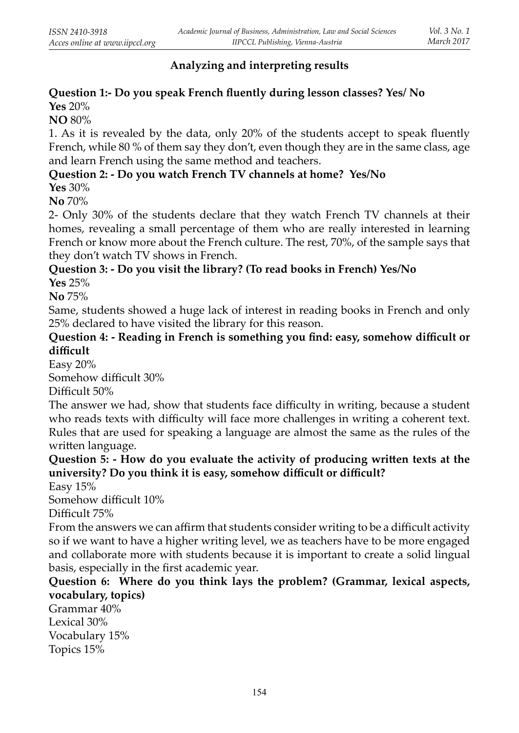# **Analyzing and interpreting results**

# **Question 1:- Do you speak French fluently during lesson classes? Yes/ No**

**Yes** 20%

**NO** 80%

1. As it is revealed by the data, only 20% of the students accept to speak fluently French, while 80 % of them say they don't, even though they are in the same class, age and learn French using the same method and teachers.

## **Question 2: - Do you watch French TV channels at home? Yes/No**

**Yes** 30%

**No** 70%

2- Only 30% of the students declare that they watch French TV channels at their homes, revealing a small percentage of them who are really interested in learning French or know more about the French culture. The rest, 70%, of the sample says that they don't watch TV shows in French.

# **Question 3: - Do you visit the library? (To read books in French) Yes/No**

**Yes** 25%

**No** 75%

Same, students showed a huge lack of interest in reading books in French and only 25% declared to have visited the library for this reason.

## **Question 4: - Reading in French is something you find: easy, somehow difficult or diffi cult**

Easy 20%

Somehow difficult 30%

Difficult 50%

The answer we had, show that students face difficulty in writing, because a student who reads texts with difficulty will face more challenges in writing a coherent text. Rules that are used for speaking a language are almost the same as the rules of the written language.

# **Question 5: - How do you evaluate the activity of producing written texts at the** university? Do you think it is easy, somehow difficult or difficult?

Easy 15%

Somehow difficult 10%

Difficult 75%

From the answers we can affirm that students consider writing to be a difficult activity so if we want to have a higher writing level, we as teachers have to be more engaged and collaborate more with students because it is important to create a solid lingual basis, especially in the first academic year.

## **Question 6: Where do you think lays the problem? (Grammar, lexical aspects, vocabulary, topics)**

Grammar 40%Lexical 30% Vocabulary 15%Topics 15%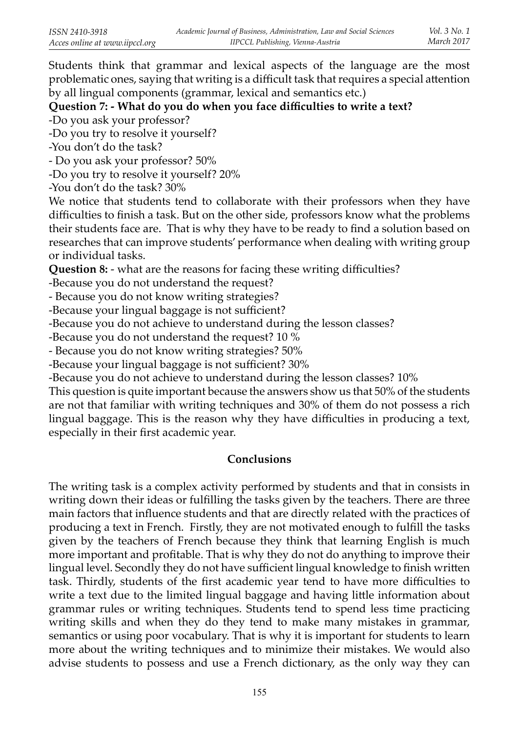Students think that grammar and lexical aspects of the language are the most problematic ones, saying that writing is a difficult task that requires a special attention by all lingual components (grammar, lexical and semantics etc.)

## Question 7: - What do you do when you face difficulties to write a text?

-Do you ask your professor?

-Do you try to resolve it yourself?

-You don't do the task?

- Do you ask your professor? 50%

-Do you try to resolve it yourself? 20%

-You don't do the task? 30%

 We notice that students tend to collaborate with their professors when they have difficulties to finish a task. But on the other side, professors know what the problems their students face are. That is why they have to be ready to find a solution based on researches that can improve students' performance when dealing with writing group or individual tasks.

**Question 8:** - what are the reasons for facing these writing difficulties?

-Because you do not understand the request?

- Because you do not know writing strategies?

-Because your lingual baggage is not sufficient?

-Because you do not achieve to understand during the lesson classes?

-Because you do not understand the request? 10 %

- Because you do not know writing strategies? 50%

-Because your lingual baggage is not sufficient? 30%

-Because you do not achieve to understand during the lesson classes? 10%

 This question is quite important because the answers show us that 50% of the students are not that familiar with writing techniques and 30% of them do not possess a rich lingual baggage. This is the reason why they have difficulties in producing a text, especially in their first academic year.

## **Conclusions**

The writing task is a complex activity performed by students and that in consists in writing down their ideas or fulfilling the tasks given by the teachers. There are three main factors that influence students and that are directly related with the practices of producing a text in French. Firstly, they are not motivated enough to fulfill the tasks given by the teachers of French because they think that learning English is much more important and profitable. That is why they do not do anything to improve their lingual level. Secondly they do not have sufficient lingual knowledge to finish written task. Thirdly, students of the first academic year tend to have more difficulties to write a text due to the limited lingual baggage and having little information about grammar rules or writing techniques. Students tend to spend less time practicing writing skills and when they do they tend to make many mistakes in grammar, semantics or using poor vocabulary. That is why it is important for students to learn more about the writing techniques and to minimize their mistakes. We would also advise students to possess and use a French dictionary, as the only way they can